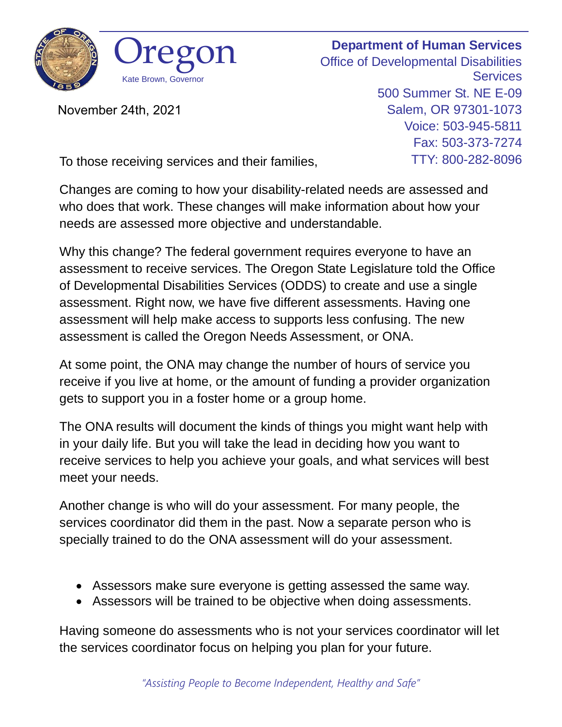

November 24th, 2021

**Department of Human Services** Office of Developmental Disabilities **Services** 500 Summer St. NE E-09 Salem, OR 97301-1073 Voice: 503-945-5811 Fax: 503-373-7274 TTY: 800-282-8096

To those receiving services and their families,

Changes are coming to how your disability-related needs are assessed and who does that work. These changes will make information about how your needs are assessed more objective and understandable.

Why this change? The federal government requires everyone to have an assessment to receive services. The Oregon State Legislature told the Office of Developmental Disabilities Services (ODDS) to create and use a single assessment. Right now, we have five different assessments. Having one assessment will help make access to supports less confusing. The new assessment is called the Oregon Needs Assessment, or ONA.

At some point, the ONA may change the number of hours of service you receive if you live at home, or the amount of funding a provider organization gets to support you in a foster home or a group home.

The ONA results will document the kinds of things you might want help with in your daily life. But you will take the lead in deciding how you want to receive services to help you achieve your goals, and what services will best meet your needs.

Another change is who will do your assessment. For many people, the services coordinator did them in the past. Now a separate person who is specially trained to do the ONA assessment will do your assessment.

- Assessors make sure everyone is getting assessed the same way.
- Assessors will be trained to be objective when doing assessments.

Having someone do assessments who is not your services coordinator will let the services coordinator focus on helping you plan for your future.